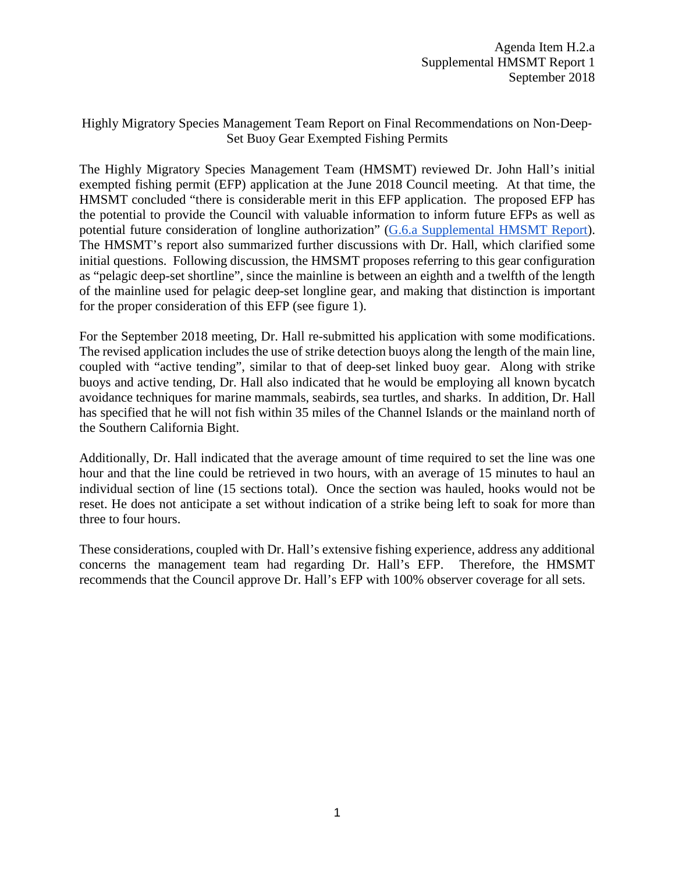## Highly Migratory Species Management Team Report on Final Recommendations on Non‐Deep‐ Set Buoy Gear Exempted Fishing Permits

The Highly Migratory Species Management Team (HMSMT) reviewed Dr. John Hall's initial exempted fishing permit (EFP) application at the June 2018 Council meeting. At that time, the HMSMT concluded "there is considerable merit in this EFP application. The proposed EFP has the potential to provide the Council with valuable information to inform future EFPs as well as potential future consideration of longline authorization" [\(G.6.a Supplemental HMSMT Report\)](https://www.pcouncil.org/wp-content/uploads/2018/06/G6a_Supp_HMSMT_Rpt1_JUN2018BB.pdf). The HMSMT's report also summarized further discussions with Dr. Hall, which clarified some initial questions. Following discussion, the HMSMT proposes referring to this gear configuration as "pelagic deep-set shortline", since the mainline is between an eighth and a twelfth of the length of the mainline used for pelagic deep-set longline gear, and making that distinction is important for the proper consideration of this EFP (see figure 1).

For the September 2018 meeting, Dr. Hall re-submitted his application with some modifications. The revised application includes the use of strike detection buoys along the length of the main line, coupled with "active tending", similar to that of deep-set linked buoy gear. Along with strike buoys and active tending, Dr. Hall also indicated that he would be employing all known bycatch avoidance techniques for marine mammals, seabirds, sea turtles, and sharks. In addition, Dr. Hall has specified that he will not fish within 35 miles of the Channel Islands or the mainland north of the Southern California Bight.

Additionally, Dr. Hall indicated that the average amount of time required to set the line was one hour and that the line could be retrieved in two hours, with an average of 15 minutes to haul an individual section of line (15 sections total). Once the section was hauled, hooks would not be reset. He does not anticipate a set without indication of a strike being left to soak for more than three to four hours.

These considerations, coupled with Dr. Hall's extensive fishing experience, address any additional concerns the management team had regarding Dr. Hall's EFP. Therefore, the HMSMT recommends that the Council approve Dr. Hall's EFP with 100% observer coverage for all sets.